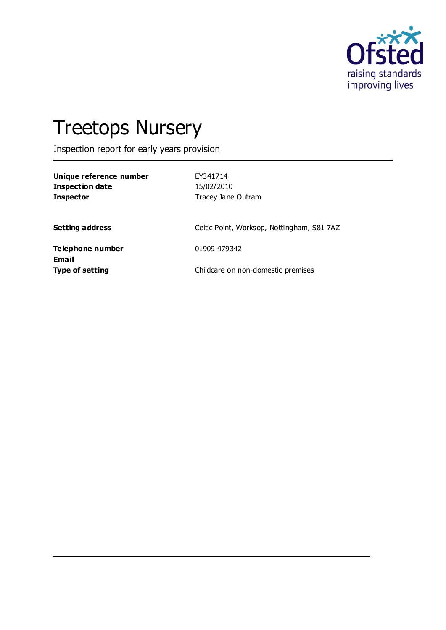

# Treetops Nursery

Inspection report for early years provision

| Unique reference number<br><b>Inspection date</b><br><b>Inspector</b> | EY341714<br>15/02/2010<br>Tracey Jane Outram |
|-----------------------------------------------------------------------|----------------------------------------------|
| <b>Setting address</b>                                                | Celtic Point, Worksop, Nottingham, S81 7AZ   |
| Telephone number                                                      | 01909 479342                                 |
| Email<br>Type of setting                                              | Childcare on non-domestic premises           |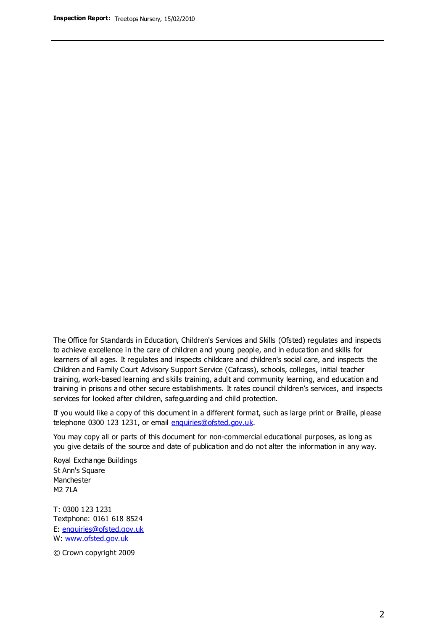The Office for Standards in Education, Children's Services and Skills (Ofsted) regulates and inspects to achieve excellence in the care of children and young people, and in education and skills for learners of all ages. It regulates and inspects childcare and children's social care, and inspects the Children and Family Court Advisory Support Service (Cafcass), schools, colleges, initial teacher training, work-based learning and skills training, adult and community learning, and education and training in prisons and other secure establishments. It rates council children's services, and inspects services for looked after children, safeguarding and child protection.

If you would like a copy of this document in a different format, such as large print or Braille, please telephone 0300 123 1231, or email enquiries@ofsted.gov.uk.

You may copy all or parts of this document for non-commercial educational purposes, as long as you give details of the source and date of publication and do not alter the information in any way.

Royal Exchange Buildings St Ann's Square Manchester M2 7LA

T: 0300 123 1231 Textphone: 0161 618 8524 E: enquiries@ofsted.gov.uk W: [www.ofsted.gov.uk](http://www.ofsted.gov.uk/)

© Crown copyright 2009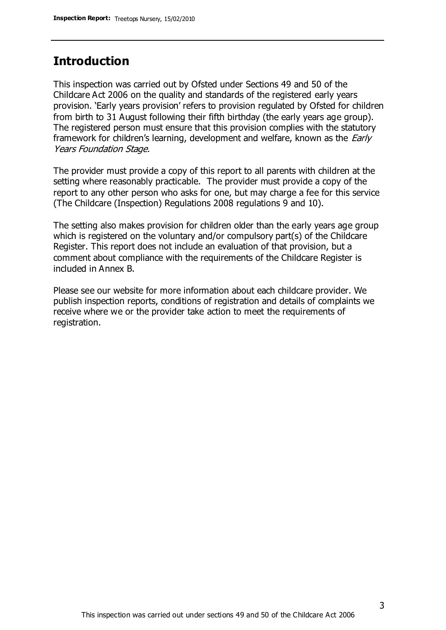## **Introduction**

This inspection was carried out by Ofsted under Sections 49 and 50 of the Childcare Act 2006 on the quality and standards of the registered early years provision. 'Early years provision' refers to provision regulated by Ofsted for children from birth to 31 August following their fifth birthday (the early years age group). The registered person must ensure that this provision complies with the statutory framework for children's learning, development and welfare, known as the *Early* Years Foundation Stage.

The provider must provide a copy of this report to all parents with children at the setting where reasonably practicable. The provider must provide a copy of the report to any other person who asks for one, but may charge a fee for this service (The Childcare (Inspection) Regulations 2008 regulations 9 and 10).

The setting also makes provision for children older than the early years age group which is registered on the voluntary and/or compulsory part(s) of the Childcare Register. This report does not include an evaluation of that provision, but a comment about compliance with the requirements of the Childcare Register is included in Annex B.

Please see our website for more information about each childcare provider. We publish inspection reports, conditions of registration and details of complaints we receive where we or the provider take action to meet the requirements of registration.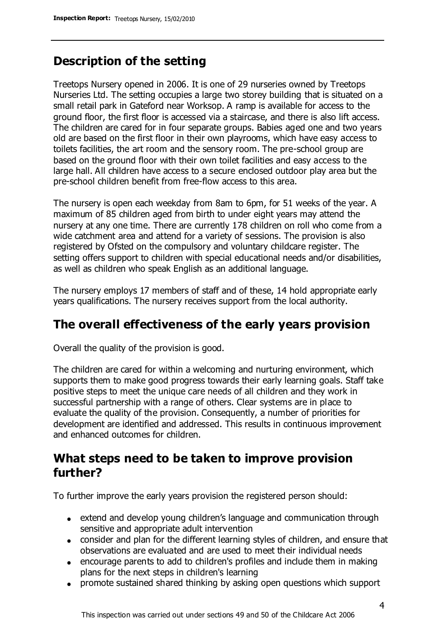# **Description of the setting**

Treetops Nursery opened in 2006. It is one of 29 nurseries owned by Treetops Nurseries Ltd. The setting occupies a large two storey building that is situated on a small retail park in Gateford near Worksop. A ramp is available for access to the ground floor, the first floor is accessed via a staircase, and there is also lift access. The children are cared for in four separate groups. Babies aged one and two years old are based on the first floor in their own playrooms, which have easy access to toilets facilities, the art room and the sensory room. The pre-school group are based on the ground floor with their own toilet facilities and easy access to the large hall. All children have access to a secure enclosed outdoor play area but the pre-school children benefit from free-flow access to this area.

The nursery is open each weekday from 8am to 6pm, for 51 weeks of the year. A maximum of 85 children aged from birth to under eight years may attend the nursery at any one time. There are currently 178 children on roll who come from a wide catchment area and attend for a variety of sessions. The provision is also registered by Ofsted on the compulsory and voluntary childcare register. The setting offers support to children with special educational needs and/or disabilities, as well as children who speak English as an additional language.

The nursery employs 17 members of staff and of these, 14 hold appropriate early years qualifications. The nursery receives support from the local authority.

# **The overall effectiveness of the early years provision**

Overall the quality of the provision is good.

The children are cared for within a welcoming and nurturing environment, which supports them to make good progress towards their early learning goals. Staff take positive steps to meet the unique care needs of all children and they work in successful partnership with a range of others. Clear systems are in place to evaluate the quality of the provision. Consequently, a number of priorities for development are identified and addressed. This results in continuous improvement and enhanced outcomes for children.

## **What steps need to be taken to improve provision further?**

To further improve the early years provision the registered person should:

- extend and develop young children's language and communication through sensitive and appropriate adult intervention
- consider and plan for the different learning styles of children, and ensure that observations are evaluated and are used to meet their individual needs
- encourage parents to add to children's profiles and include them in making plans for the next steps in children's learning
- promote sustained shared thinking by asking open questions which support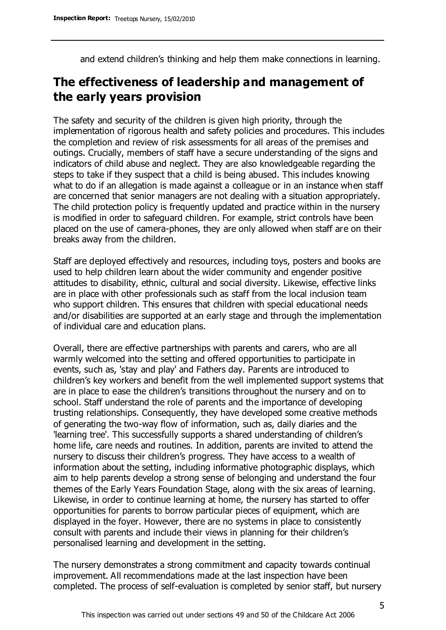and extend children's thinking and help them make connections in learning.

# **The effectiveness of leadership and management of the early years provision**

The safety and security of the children is given high priority, through the implementation of rigorous health and safety policies and procedures. This includes the completion and review of risk assessments for all areas of the premises and outings. Crucially, members of staff have a secure understanding of the signs and indicators of child abuse and neglect. They are also knowledgeable regarding the steps to take if they suspect that a child is being abused. This includes knowing what to do if an allegation is made against a colleague or in an instance when staff are concerned that senior managers are not dealing with a situation appropriately. The child protection policy is frequently updated and practice within in the nursery is modified in order to safeguard children. For example, strict controls have been placed on the use of camera-phones, they are only allowed when staff are on their breaks away from the children.

Staff are deployed effectively and resources, including toys, posters and books are used to help children learn about the wider community and engender positive attitudes to disability, ethnic, cultural and social diversity. Likewise, effective links are in place with other professionals such as staff from the local inclusion team who support children. This ensures that children with special educational needs and/or disabilities are supported at an early stage and through the implementation of individual care and education plans.

Overall, there are effective partnerships with parents and carers, who are all warmly welcomed into the setting and offered opportunities to participate in events, such as, 'stay and play' and Fathers day. Parents are introduced to children's key workers and benefit from the well implemented support systems that are in place to ease the children's transitions throughout the nursery and on to school. Staff understand the role of parents and the importance of developing trusting relationships. Consequently, they have developed some creative methods of generating the two-way flow of information, such as, daily diaries and the 'learning tree'. This successfully supports a shared understanding of children's home life, care needs and routines. In addition, parents are invited to attend the nursery to discuss their children's progress. They have access to a wealth of information about the setting, including informative photographic displays, which aim to help parents develop a strong sense of belonging and understand the four themes of the Early Years Foundation Stage, along with the six areas of learning. Likewise, in order to continue learning at home, the nursery has started to offer opportunities for parents to borrow particular pieces of equipment, which are displayed in the foyer. However, there are no systems in place to consistently consult with parents and include their views in planning for their children's personalised learning and development in the setting.

The nursery demonstrates a strong commitment and capacity towards continual improvement. All recommendations made at the last inspection have been completed. The process of self-evaluation is completed by senior staff, but nursery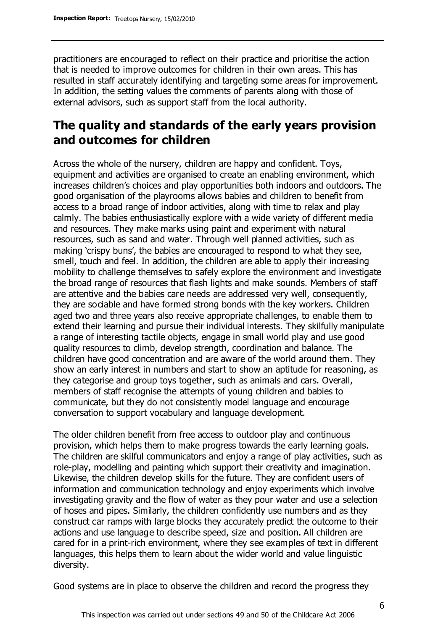practitioners are encouraged to reflect on their practice and prioritise the action that is needed to improve outcomes for children in their own areas. This has resulted in staff accurately identifying and targeting some areas for improvement. In addition, the setting values the comments of parents along with those of external advisors, such as support staff from the local authority.

## **The quality and standards of the early years provision and outcomes for children**

Across the whole of the nursery, children are happy and confident. Toys, equipment and activities are organised to create an enabling environment, which increases children's choices and play opportunities both indoors and outdoors. The good organisation of the playrooms allows babies and children to benefit from access to a broad range of indoor activities, along with time to relax and play calmly. The babies enthusiastically explore with a wide variety of different media and resources. They make marks using paint and experiment with natural resources, such as sand and water. Through well planned activities, such as making 'crispy buns', the babies are encouraged to respond to what they see, smell, touch and feel. In addition, the children are able to apply their increasing mobility to challenge themselves to safely explore the environment and investigate the broad range of resources that flash lights and make sounds. Members of staff are attentive and the babies care needs are addressed very well, consequently, they are sociable and have formed strong bonds with the key workers. Children aged two and three years also receive appropriate challenges, to enable them to extend their learning and pursue their individual interests. They skilfully manipulate a range of interesting tactile objects, engage in small world play and use good quality resources to climb, develop strength, coordination and balance. The children have good concentration and are aware of the world around them. They show an early interest in numbers and start to show an aptitude for reasoning, as they categorise and group toys together, such as animals and cars. Overall, members of staff recognise the attempts of young children and babies to communicate, but they do not consistently model language and encourage conversation to support vocabulary and language development.

The older children benefit from free access to outdoor play and continuous provision, which helps them to make progress towards the early learning goals. The children are skilful communicators and enjoy a range of play activities, such as role-play, modelling and painting which support their creativity and imagination. Likewise, the children develop skills for the future. They are confident users of information and communication technology and enjoy experiments which involve investigating gravity and the flow of water as they pour water and use a selection of hoses and pipes. Similarly, the children confidently use numbers and as they construct car ramps with large blocks they accurately predict the outcome to their actions and use language to describe speed, size and position. All children are cared for in a print-rich environment, where they see examples of text in different languages, this helps them to learn about the wider world and value linguistic diversity.

Good systems are in place to observe the children and record the progress they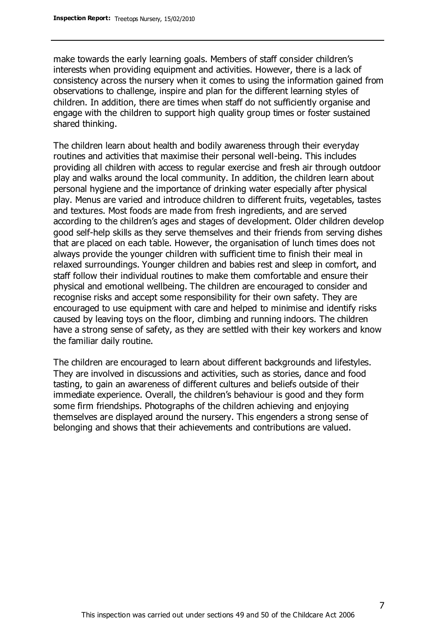make towards the early learning goals. Members of staff consider children's interests when providing equipment and activities. However, there is a lack of consistency across the nursery when it comes to using the information gained from observations to challenge, inspire and plan for the different learning styles of children. In addition, there are times when staff do not sufficiently organise and engage with the children to support high quality group times or foster sustained shared thinking.

The children learn about health and bodily awareness through their everyday routines and activities that maximise their personal well-being. This includes providing all children with access to regular exercise and fresh air through outdoor play and walks around the local community. In addition, the children learn about personal hygiene and the importance of drinking water especially after physical play. Menus are varied and introduce children to different fruits, vegetables, tastes and textures. Most foods are made from fresh ingredients, and are served according to the children's ages and stages of development. Older children develop good self-help skills as they serve themselves and their friends from serving dishes that are placed on each table. However, the organisation of lunch times does not always provide the younger children with sufficient time to finish their meal in relaxed surroundings. Younger children and babies rest and sleep in comfort, and staff follow their individual routines to make them comfortable and ensure their physical and emotional wellbeing. The children are encouraged to consider and recognise risks and accept some responsibility for their own safety. They are encouraged to use equipment with care and helped to minimise and identify risks caused by leaving toys on the floor, climbing and running indoors. The children have a strong sense of safety, as they are settled with their key workers and know the familiar daily routine.

The children are encouraged to learn about different backgrounds and lifestyles. They are involved in discussions and activities, such as stories, dance and food tasting, to gain an awareness of different cultures and beliefs outside of their immediate experience. Overall, the children's behaviour is good and they form some firm friendships. Photographs of the children achieving and enjoying themselves are displayed around the nursery. This engenders a strong sense of belonging and shows that their achievements and contributions are valued.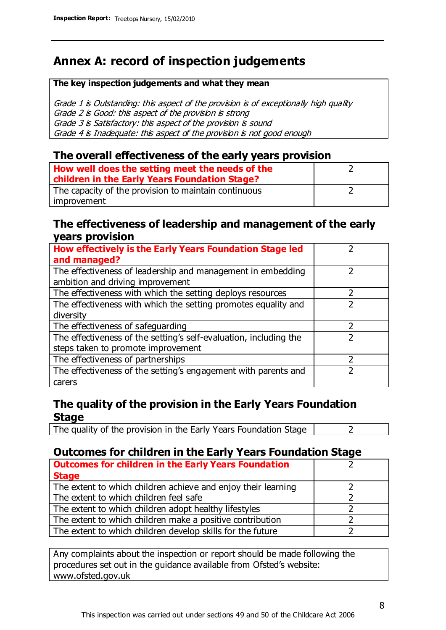# **Annex A: record of inspection judgements**

#### **The key inspection judgements and what they mean**

Grade 1 is Outstanding: this aspect of the provision is of exceptionally high quality Grade 2 is Good: this aspect of the provision is strong Grade 3 is Satisfactory: this aspect of the provision is sound Grade 4 is Inadequate: this aspect of the provision is not good enough

### **The overall effectiveness of the early years provision**

| How well does the setting meet the needs of the      |  |
|------------------------------------------------------|--|
| children in the Early Years Foundation Stage?        |  |
| The capacity of the provision to maintain continuous |  |
| improvement                                          |  |

### **The effectiveness of leadership and management of the early years provision**

| How effectively is the Early Years Foundation Stage led                                         |   |
|-------------------------------------------------------------------------------------------------|---|
| and managed?                                                                                    |   |
| The effectiveness of leadership and management in embedding<br>ambition and driving improvement |   |
| The effectiveness with which the setting deploys resources                                      |   |
| The effectiveness with which the setting promotes equality and                                  |   |
| diversity                                                                                       |   |
| The effectiveness of safeguarding                                                               | フ |
| The effectiveness of the setting's self-evaluation, including the                               |   |
| steps taken to promote improvement                                                              |   |
| The effectiveness of partnerships                                                               |   |
| The effectiveness of the setting's engagement with parents and                                  |   |
| carers                                                                                          |   |

## **The quality of the provision in the Early Years Foundation Stage**

The quality of the provision in the Early Years Foundation Stage  $\vert$  2

## **Outcomes for children in the Early Years Foundation Stage**

| <b>Outcomes for children in the Early Years Foundation</b>    |  |
|---------------------------------------------------------------|--|
| <b>Stage</b>                                                  |  |
| The extent to which children achieve and enjoy their learning |  |
| The extent to which children feel safe                        |  |
| The extent to which children adopt healthy lifestyles         |  |
| The extent to which children make a positive contribution     |  |
| The extent to which children develop skills for the future    |  |

Any complaints about the inspection or report should be made following the procedures set out in the guidance available from Ofsted's website: www.ofsted.gov.uk